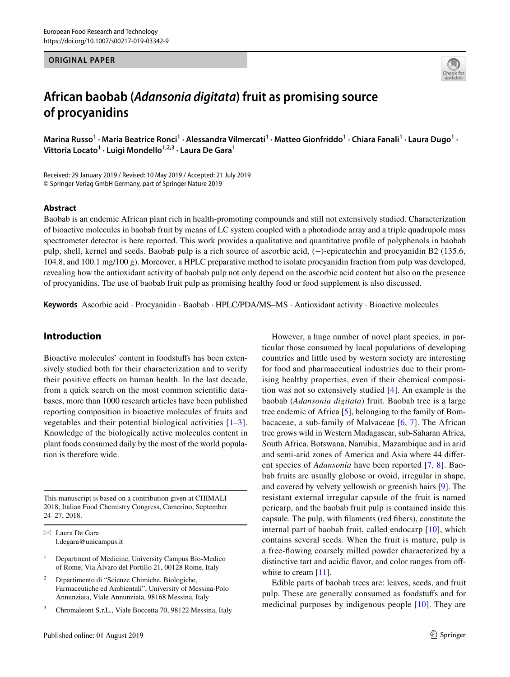## **ORIGINAL PAPER**



# **African baobab (***Adansonia digitata***) fruit as promising source of procyanidins**

Marina Russo<sup>1</sup> • Maria Beatrice Ronci<sup>1</sup> • Alessandra Vilmercati<sup>1</sup> • Matteo Gionfriddo<sup>1</sup> • Chiara Fanali<sup>1</sup> • Laura Dugo<sup>1</sup> • **Vittoria Locato1 · Luigi Mondello1,2,3 · Laura De Gara1**

Received: 29 January 2019 / Revised: 10 May 2019 / Accepted: 21 July 2019 © Springer-Verlag GmbH Germany, part of Springer Nature 2019

## **Abstract**

Baobab is an endemic African plant rich in health-promoting compounds and still not extensively studied. Characterization of bioactive molecules in baobab fruit by means of LC system coupled with a photodiode array and a triple quadrupole mass spectrometer detector is here reported. This work provides a qualitative and quantitative profle of polyphenols in baobab pulp, shell, kernel and seeds. Baobab pulp is a rich source of ascorbic acid, (−)-epicatechin and procyanidin B2 (135.6, 104.8, and 100.1 mg/100 g). Moreover, a HPLC preparative method to isolate procyanidin fraction from pulp was developed, revealing how the antioxidant activity of baobab pulp not only depend on the ascorbic acid content but also on the presence of procyanidins. The use of baobab fruit pulp as promising healthy food or food supplement is also discussed.

**Keywords** Ascorbic acid · Procyanidin · Baobab · HPLC/PDA/MS–MS · Antioxidant activity · Bioactive molecules

## **Introduction**

Bioactive molecules' content in foodstufs has been extensively studied both for their characterization and to verify their positive efects on human health. In the last decade, from a quick search on the most common scientifc databases, more than 1000 research articles have been published reporting composition in bioactive molecules of fruits and vegetables and their potential biological activities [[1–](#page-7-0)[3](#page-7-1)]. Knowledge of the biologically active molecules content in plant foods consumed daily by the most of the world population is therefore wide.

This manuscript is based on a contribution given at CHIMALI 2018, Italian Food Chemistry Congress, Camerino, September 24–27, 2018.

 $\boxtimes$  Laura De Gara l.degara@unicampus.it

- <sup>1</sup> Department of Medicine, University Campus Bio-Medico of Rome, Via Álvaro del Portillo 21, 00128 Rome, Italy
- <sup>2</sup> Dipartimento di "Scienze Chimiche, Biologiche, Farmaceutiche ed Ambientali", University of Messina-Polo Annunziata, Viale Annunziata, 98168 Messina, Italy
- Chromaleont S.r.L., Viale Boccetta 70, 98122 Messina, Italy

However, a huge number of novel plant species, in particular those consumed by local populations of developing countries and little used by western society are interesting for food and pharmaceutical industries due to their promising healthy properties, even if their chemical composition was not so extensively studied [[4\]](#page-7-2). An example is the baobab (*Adansonia digitata*) fruit. Baobab tree is a large tree endemic of Africa [\[5](#page-7-3)], belonging to the family of Bombacaceae, a sub-family of Malvaceae [[6,](#page-7-4) [7\]](#page-8-0). The African tree grows wild in Western Madagascar, sub-Saharan Africa, South Africa, Botswana, Namibia, Mazambique and in arid and semi-arid zones of America and Asia where 44 diferent species of *Adansonia* have been reported [\[7](#page-8-0), [8](#page-8-1)]. Baobab fruits are usually globose or ovoid, irregular in shape, and covered by velvety yellowish or greenish hairs [\[9](#page-8-2)]. The resistant external irregular capsule of the fruit is named pericarp, and the baobab fruit pulp is contained inside this capsule. The pulp, with flaments (red fbers), constitute the internal part of baobab fruit, called endocarp [\[10](#page-8-3)], which contains several seeds. When the fruit is mature, pulp is a free-fowing coarsely milled powder characterized by a distinctive tart and acidic flavor, and color ranges from off-white to cream [[11\]](#page-8-4).

Edible parts of baobab trees are: leaves, seeds, and fruit pulp. These are generally consumed as foodstufs and for medicinal purposes by indigenous people [[10\]](#page-8-3). They are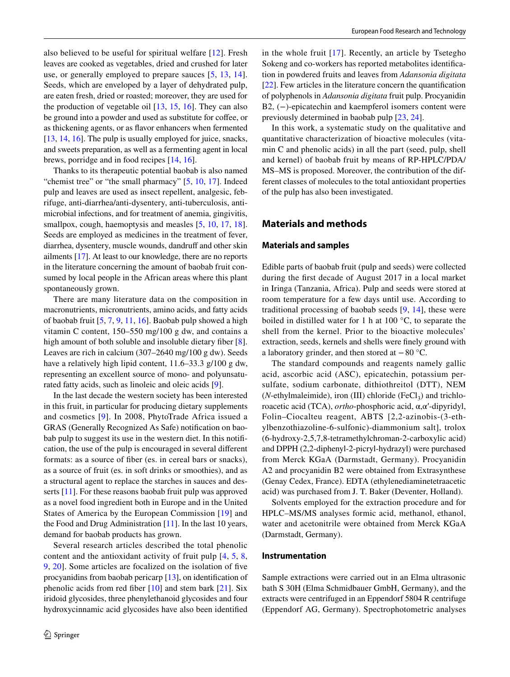also believed to be useful for spiritual welfare [\[12\]](#page-8-5). Fresh leaves are cooked as vegetables, dried and crushed for later use, or generally employed to prepare sauces [[5](#page-7-3), [13](#page-8-6), [14](#page-8-7)]. Seeds, which are enveloped by a layer of dehydrated pulp, are eaten fresh, dried or roasted; moreover, they are used for the production of vegetable oil [[13,](#page-8-6) [15](#page-8-8), [16\]](#page-8-9). They can also be ground into a powder and used as substitute for coffee, or as thickening agents, or as favor enhancers when fermented [\[13](#page-8-6), [14](#page-8-7), [16](#page-8-9)]. The pulp is usually employed for juice, snacks, and sweets preparation, as well as a fermenting agent in local brews, porridge and in food recipes [\[14](#page-8-7), [16](#page-8-9)].

Thanks to its therapeutic potential baobab is also named "chemist tree" or "the small pharmacy" [\[5,](#page-7-3) [10,](#page-8-3) [17](#page-8-10)]. Indeed pulp and leaves are used as insect repellent, analgesic, febrifuge, anti-diarrhea/anti-dysentery, anti-tuberculosis, antimicrobial infections, and for treatment of anemia, gingivitis, smallpox, cough, haemoptysis and measles  $[5, 10, 17, 18]$  $[5, 10, 17, 18]$  $[5, 10, 17, 18]$  $[5, 10, 17, 18]$  $[5, 10, 17, 18]$  $[5, 10, 17, 18]$  $[5, 10, 17, 18]$  $[5, 10, 17, 18]$ . Seeds are employed as medicines in the treatment of fever, diarrhea, dysentery, muscle wounds, dandruff and other skin ailments [\[17](#page-8-10)]. At least to our knowledge, there are no reports in the literature concerning the amount of baobab fruit consumed by local people in the African areas where this plant spontaneously grown.

There are many literature data on the composition in macronutrients, micronutrients, amino acids, and fatty acids of baobab fruit [\[5](#page-7-3), [7](#page-8-0), [9,](#page-8-2) [11,](#page-8-4) [16\]](#page-8-9). Baobab pulp showed a high vitamin C content, 150–550 mg/100 g dw, and contains a high amount of both soluble and insoluble dietary fiber [\[8](#page-8-1)]. Leaves are rich in calcium (307–2640 mg/100 g dw). Seeds have a relatively high lipid content, 11.6–33.3 g/100 g dw, representing an excellent source of mono- and polyunsaturated fatty acids, such as linoleic and oleic acids [\[9](#page-8-2)].

In the last decade the western society has been interested in this fruit, in particular for producing dietary supplements and cosmetics [\[9](#page-8-2)]. In 2008, PhytoTrade Africa issued a GRAS (Generally Recognized As Safe) notifcation on baobab pulp to suggest its use in the western diet. In this notifcation, the use of the pulp is encouraged in several diferent formats: as a source of fber (es. in cereal bars or snacks), as a source of fruit (es. in soft drinks or smoothies), and as a structural agent to replace the starches in sauces and des-serts [\[11](#page-8-4)]. For these reasons baobab fruit pulp was approved as a novel food ingredient both in Europe and in the United States of America by the European Commission [[19\]](#page-8-12) and the Food and Drug Administration [\[11](#page-8-4)]. In the last 10 years, demand for baobab products has grown.

Several research articles described the total phenolic content and the antioxidant activity of fruit pulp [[4,](#page-7-2) [5,](#page-7-3) [8,](#page-8-1) [9](#page-8-2), [20\]](#page-8-13). Some articles are focalized on the isolation of fve procyanidins from baobab pericarp [[13\]](#page-8-6), on identifcation of phenolic acids from red fiber  $[10]$  $[10]$  and stem bark  $[21]$  $[21]$ . Six iridoid glycosides, three phenylethanoid glycosides and four hydroxycinnamic acid glycosides have also been identifed in the whole fruit  $[17]$  $[17]$  $[17]$ . Recently, an article by Tsetegho Sokeng and co-workers has reported metabolites identifcation in powdered fruits and leaves from *Adansonia digitata* [\[22](#page-8-15)]. Few articles in the literature concern the quantifcation of polyphenols in *Adansonia digitata* fruit pulp. Procyanidin B2, (−)-epicatechin and kaempferol isomers content were previously determined in baobab pulp [[23,](#page-8-16) [24\]](#page-8-17).

In this work, a systematic study on the qualitative and quantitative characterization of bioactive molecules (vitamin C and phenolic acids) in all the part (seed, pulp, shell and kernel) of baobab fruit by means of RP-HPLC/PDA/ MS–MS is proposed. Moreover, the contribution of the different classes of molecules to the total antioxidant properties of the pulp has also been investigated.

# **Materials and methods**

#### <span id="page-1-0"></span>**Materials and samples**

Edible parts of baobab fruit (pulp and seeds) were collected during the frst decade of August 2017 in a local market in Iringa (Tanzania, Africa). Pulp and seeds were stored at room temperature for a few days until use. According to traditional processing of baobab seeds [[9,](#page-8-2) [14\]](#page-8-7), these were boiled in distilled water for 1 h at 100 °C, to separate the shell from the kernel. Prior to the bioactive molecules' extraction, seeds, kernels and shells were fnely ground with a laboratory grinder, and then stored at −80 °C.

The standard compounds and reagents namely gallic acid, ascorbic acid (ASC), epicatechin, potassium persulfate, sodium carbonate, dithiothreitol (DTT), NEM ( $N$ -ethylmaleimide), iron (III) chloride ( $FeCl<sub>3</sub>$ ) and trichloroacetic acid (TCA), *ortho*-phosphoric acid, α,α′-dipyridyl, Folin–Ciocalteu reagent, ABTS [2,2-azinobis-(3-ethylbenzothiazoline-6-sulfonic)-diammonium salt], trolox (6-hydroxy-2,5,7,8-tetramethylchroman-2-carboxylic acid) and DPPH (2,2-diphenyl-2-picryl-hydrazyl) were purchased from Merck KGaA (Darmstadt, Germany). Procyanidin A2 and procyanidin B2 were obtained from Extrasynthese (Genay Cedex, France). EDTA (ethylenediaminetetraacetic acid) was purchased from J. T. Baker (Deventer, Holland).

Solvents employed for the extraction procedure and for HPLC–MS/MS analyses formic acid, methanol, ethanol, water and acetonitrile were obtained from Merck KGaA (Darmstadt, Germany).

## **Instrumentation**

Sample extractions were carried out in an Elma ultrasonic bath S 30H (Elma Schmidbauer GmbH, Germany), and the extracts were centrifuged in an Eppendorf 5804 R centrifuge (Eppendorf AG, Germany). Spectrophotometric analyses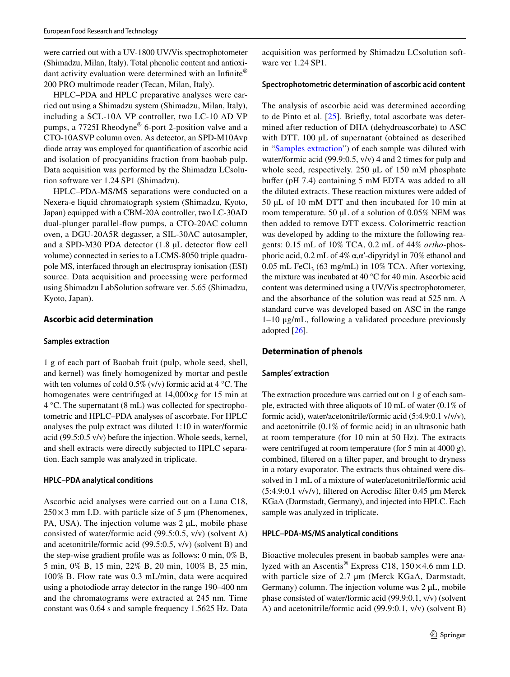were carried out with a UV-1800 UV/Vis spectrophotometer (Shimadzu, Milan, Italy). Total phenolic content and antioxidant activity evaluation were determined with an Infinite® 200 PRO multimode reader (Tecan, Milan, Italy).

HPLC–PDA and HPLC preparative analyses were carried out using a Shimadzu system (Shimadzu, Milan, Italy), including a SCL-10A VP controller, two LC-10 AD VP pumps, a 7725I Rheodyne® 6-port 2-position valve and a CTO-10ASVP column oven. As detector, an SPD-M10Avp diode array was employed for quantifcation of ascorbic acid and isolation of procyanidins fraction from baobab pulp. Data acquisition was performed by the Shimadzu LCsolution software ver 1.24 SP1 (Shimadzu).

HPLC–PDA-MS/MS separations were conducted on a Nexera-e liquid chromatograph system (Shimadzu, Kyoto, Japan) equipped with a CBM-20A controller, two LC-30AD dual-plunger parallel-fow pumps, a CTO-20AC column oven, a DGU-20A5R degasser, a SIL-30AC autosampler, and a SPD-M30 PDA detector (1.8 µL detector fow cell volume) connected in series to a LCMS-8050 triple quadrupole MS, interfaced through an electrospray ionisation (ESI) source. Data acquisition and processing were performed using Shimadzu LabSolution software ver. 5.65 (Shimadzu, Kyoto, Japan).

## **Ascorbic acid determination**

#### <span id="page-2-0"></span>**Samples extraction**

1 g of each part of Baobab fruit (pulp, whole seed, shell, and kernel) was fnely homogenized by mortar and pestle with ten volumes of cold  $0.5\%$  (v/v) formic acid at 4 °C. The homogenates were centrifuged at 14,000×*g* for 15 min at 4 °C. The supernatant (8 mL) was collected for spectrophotometric and HPLC–PDA analyses of ascorbate. For HPLC analyses the pulp extract was diluted 1:10 in water/formic acid (99.5:0.5 v/v) before the injection. Whole seeds, kernel, and shell extracts were directly subjected to HPLC separation. Each sample was analyzed in triplicate.

## **HPLC–PDA analytical conditions**

Ascorbic acid analyses were carried out on a Luna C18,  $250 \times 3$  mm I.D. with particle size of 5 µm (Phenomenex, PA, USA). The injection volume was  $2 \mu L$ , mobile phase consisted of water/formic acid (99.5:0.5, v/v) (solvent A) and acetonitrile/formic acid (99.5:0.5, v/v) (solvent B) and the step-wise gradient profle was as follows: 0 min, 0% B, 5 min, 0% B, 15 min, 22% B, 20 min, 100% B, 25 min, 100% B. Flow rate was 0.3 mL/min, data were acquired using a photodiode array detector in the range 190–400 nm and the chromatograms were extracted at 245 nm. Time constant was 0.64 s and sample frequency 1.5625 Hz. Data acquisition was performed by Shimadzu LCsolution software ver 1.24 SP1.

#### **Spectrophotometric determination of ascorbic acid content**

The analysis of ascorbic acid was determined according to de Pinto et al. [[25](#page-8-18)]. Briefy, total ascorbate was determined after reduction of DHA (dehydroascorbate) to ASC with DTT. 100 µL of supernatant (obtained as described in "[Samples extraction](#page-2-0)") of each sample was diluted with water/formic acid (99.9:0.5, v/v) 4 and 2 times for pulp and whole seed, respectively. 250 µL of 150 mM phosphate bufer (pH 7.4) containing 5 mM EDTA was added to all the diluted extracts. These reaction mixtures were added of 50 µL of 10 mM DTT and then incubated for 10 min at room temperature. 50 µL of a solution of 0.05% NEM was then added to remove DTT excess. Colorimetric reaction was developed by adding to the mixture the following reagents: 0.15 mL of 10% TCA, 0.2 mL of 44% *ortho*-phosphoric acid, 0.2 mL of 4% α, α'-dipyridyl in 70% ethanol and 0.05 mL FeCl<sub>3</sub> (63 mg/mL) in 10% TCA. After vortexing, the mixture was incubated at 40 °C for 40 min. Ascorbic acid content was determined using a UV/Vis spectrophotometer, and the absorbance of the solution was read at 525 nm. A standard curve was developed based on ASC in the range 1–10 μg/mL, following a validated procedure previously adopted [[26](#page-8-19)].

## **Determination of phenols**

#### <span id="page-2-1"></span>**Samples' extraction**

The extraction procedure was carried out on 1 g of each sample, extracted with three aliquots of 10 mL of water (0.1% of formic acid), water/acetonitrile/formic acid (5:4.9:0.1 v/v/v), and acetonitrile (0.1% of formic acid) in an ultrasonic bath at room temperature (for 10 min at 50 Hz). The extracts were centrifuged at room temperature (for 5 min at 4000 g), combined, fltered on a flter paper, and brought to dryness in a rotary evaporator. The extracts thus obtained were dissolved in 1 mL of a mixture of water/acetonitrile/formic acid (5:4.9:0.1 v/v/v), fltered on Acrodisc flter 0.45 μm Merck KGaA (Darmstadt, Germany), and injected into HPLC. Each sample was analyzed in triplicate.

## **HPLC–PDA‑MS/MS analytical conditions**

Bioactive molecules present in baobab samples were analyzed with an Ascentis<sup>®</sup> Express C18,  $150 \times 4.6$  mm I.D. with particle size of 2.7  $\mu$ m (Merck KGaA, Darmstadt, Germany) column. The injection volume was  $2 \mu L$ , mobile phase consisted of water/formic acid (99.9:0.1, v/v) (solvent A) and acetonitrile/formic acid (99.9:0.1, v/v) (solvent B)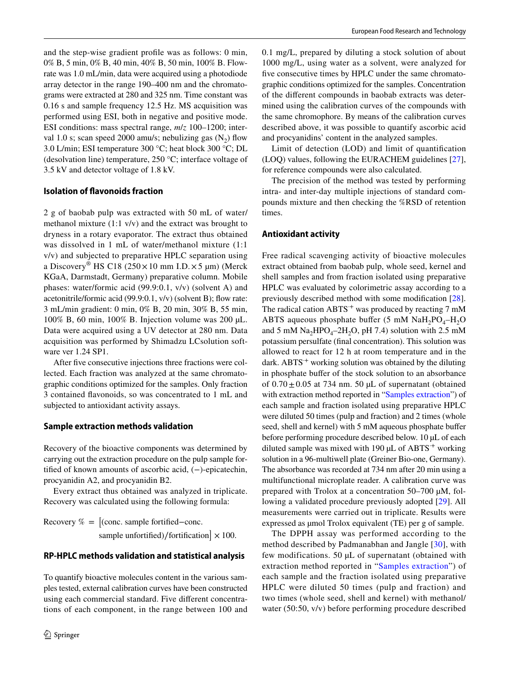and the step-wise gradient profle was as follows: 0 min, 0% B, 5 min, 0% B, 40 min, 40% B, 50 min, 100% B. Flowrate was 1.0 mL/min, data were acquired using a photodiode array detector in the range 190–400 nm and the chromatograms were extracted at 280 and 325 nm. Time constant was 0.16 s and sample frequency 12.5 Hz. MS acquisition was performed using ESI, both in negative and positive mode. ESI conditions: mass spectral range, *m*/*z* 100–1200; interval 1.0 s; scan speed 2000 amu/s; nebulizing gas  $(N_2)$  flow 3.0 L/min; ESI temperature 300 °C; heat block 300 °C; DL (desolvation line) temperature, 250 °C; interface voltage of 3.5 kV and detector voltage of 1.8 kV.

## **Isolation of favonoids fraction**

2 g of baobab pulp was extracted with 50 mL of water/ methanol mixture (1:1 v/v) and the extract was brought to dryness in a rotary evaporator. The extract thus obtained was dissolved in 1 mL of water/methanol mixture (1:1 v/v) and subjected to preparative HPLC separation using a Discovery<sup>®</sup> HS C18 (250 × 10 mm I.D. × 5 µm) (Merck KGaA, Darmstadt, Germany) preparative column. Mobile phases: water/formic acid (99.9:0.1, v/v) (solvent A) and acetonitrile/formic acid (99.9:0.1, v/v) (solvent B); fow rate: 3 mL/min gradient: 0 min, 0% B, 20 min, 30% B, 55 min, 100% B, 60 min, 100% B. Injection volume was 200 µL. Data were acquired using a UV detector at 280 nm. Data acquisition was performed by Shimadzu LCsolution software ver 1.24 SP1.

After fve consecutive injections three fractions were collected. Each fraction was analyzed at the same chromatographic conditions optimized for the samples. Only fraction 3 contained favonoids, so was concentrated to 1 mL and subjected to antioxidant activity assays.

## **Sample extraction methods validation**

Recovery of the bioactive components was determined by carrying out the extraction procedure on the pulp sample fortifed of known amounts of ascorbic acid, (−)-epicatechin, procyanidin A2, and procyanidin B2.

Every extract thus obtained was analyzed in triplicate. Recovery was calculated using the following formula:

Recovery % =  $\int$  (conc. sample fortified–conc. sample unfortified)/fortification  $\times 100$ .

## **RP‑HPLC methods validation and statistical analysis**

To quantify bioactive molecules content in the various samples tested, external calibration curves have been constructed using each commercial standard. Five diferent concentrations of each component, in the range between 100 and 0.1 mg/L, prepared by diluting a stock solution of about 1000 mg/L, using water as a solvent, were analyzed for five consecutive times by HPLC under the same chromatographic conditions optimized for the samples. Concentration of the diferent compounds in baobab extracts was determined using the calibration curves of the compounds with the same chromophore. By means of the calibration curves described above, it was possible to quantify ascorbic acid and procyanidins' content in the analyzed samples.

Limit of detection (LOD) and limit of quantifcation (LOQ) values, following the EURACHEM guidelines [\[27](#page-8-20)], for reference compounds were also calculated.

The precision of the method was tested by performing intra- and inter-day multiple injections of standard compounds mixture and then checking the %RSD of retention times.

## **Antioxidant activity**

Free radical scavenging activity of bioactive molecules extract obtained from baobab pulp, whole seed, kernel and shell samples and from fraction isolated using preparative HPLC was evaluated by colorimetric assay according to a previously described method with some modifcation [\[28](#page-8-21)]. The radical cation  $ABTS^+$  was produced by reacting 7 mM ABTS aqueous phosphate buffer (5 mM NaH<sub>2</sub>PO<sub>4</sub>–H<sub>2</sub>O and 5 mM  $\text{Na}_2\text{HPO}_4$ –2H<sub>2</sub>O, pH 7.4) solution with 2.5 mM potassium persulfate (fnal concentration). This solution was allowed to react for 12 h at room temperature and in the dark. ABTS<sup>+</sup> working solution was obtained by the diluting in phosphate buffer of the stock solution to an absorbance of  $0.70 \pm 0.05$  at 734 nm. 50 µL of supernatant (obtained with extraction method reported in ["Samples extraction](#page-2-0)") of each sample and fraction isolated using preparative HPLC were diluted 50 times (pulp and fraction) and 2 times (whole seed, shell and kernel) with 5 mM aqueous phosphate buffer before performing procedure described below. 10 µL of each diluted sample was mixed with 190  $\mu$ L of ABTS<sup>+</sup> working solution in a 96-multiwell plate (Greiner Bio-one, Germany). The absorbance was recorded at 734 nm after 20 min using a multifunctional microplate reader. A calibration curve was prepared with Trolox at a concentration 50–700 µM, following a validated procedure previously adopted [\[29](#page-8-22)]. All measurements were carried out in triplicate. Results were expressed as  $\mu$ mol Trolox equivalent (TE) per g of sample.

The DPPH assay was performed according to the method described by Padmanabhan and Jangle [[30](#page-8-23)], with few modifications. 50 µL of supernatant (obtained with extraction method reported in "[Samples extraction](#page-2-0)") of each sample and the fraction isolated using preparative HPLC were diluted 50 times (pulp and fraction) and two times (whole seed, shell and kernel) with methanol/ water (50:50, v/v) before performing procedure described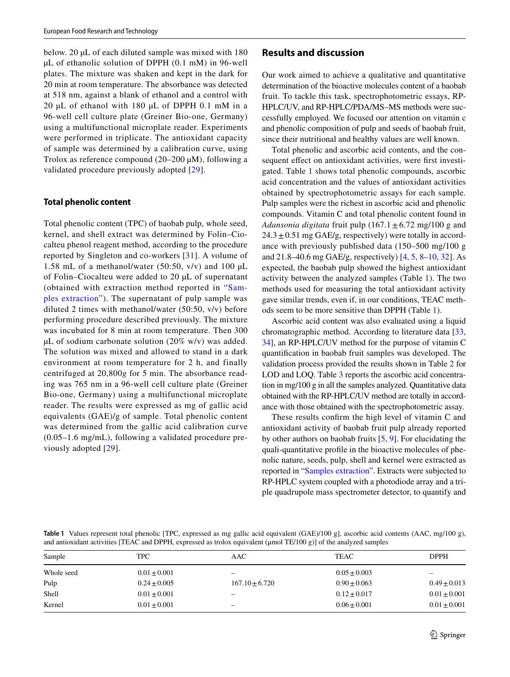below. 20 µL of each diluted sample was mixed with 180 µL of ethanolic solution of DPPH (0.1 mM) in 96-well plates. The mixture was shaken and kept in the dark for 20 min at room temperature. The absorbance was detected at 518 nm, against a blank of ethanol and a control with 20 µL of ethanol with 180 µL of DPPH 0.1 mM in a 96-well cell culture plate (Greiner Bio-one, Germany) using a multifunctional microplate reader. Experiments were performed in triplicate. The antioxidant capacity of sample was determined by a calibration curve, using Trolox as reference compound  $(20-200 \mu M)$ , following a validated procedure previously adopted [[29](#page-8-22)].

#### **Total phenolic content**

Total phenolic content (TPC) of baobab pulp, whole seed, kernel, and shell extract was determined by Folin–Ciocalteu phenol reagent method, according to the procedure reported by Singleton and co-workers [[31](#page-8-24)]. A volume of 1.58 mL of a methanol/water (50:50,  $v/v$ ) and 100 µL of Folin–Ciocalteu were added to 20 µL of supernatant (obtained with extraction method reported in "[Sam](#page-2-0)[ples extraction](#page-2-0)"). The supernatant of pulp sample was diluted 2 times with methanol/water (50:50, v/v) before performing procedure described previously. The mixture was incubated for 8 min at room temperature. Then 300 µL of sodium carbonate solution (20% w/v) was added. The solution was mixed and allowed to stand in a dark environment at room temperature for 2 h, and finally centrifuged at 20,800*g* for 5 min. The absorbance reading was 765 nm in a 96-well cell culture plate (Greiner Bio-one, Germany) using a multifunctional microplate reader. The results were expressed as mg of gallic acid equivalents (GAE)/g of sample. Total phenolic content was determined from the gallic acid calibration curve (0.05–1.6 mg/mL), following a validated procedure previously adopted [[29\]](#page-8-22).

## **Results and discussion**

Our work aimed to achieve a qualitative and quantitative determination of the bioactive molecules content of a baobab fruit. To tackle this task, spectrophotometric essays, RP-HPLC/UV, and RP-HPLC/PDA/MS–MS methods were successfully employed. We focused our attention on vitamin c and phenolic composition of pulp and seeds of baobab fruit, since their nutritional and healthy values are well known.

Total phenolic and ascorbic acid contents, and the consequent effect on antioxidant activities, were first investigated. Table [1](#page-4-0) shows total phenolic compounds, ascorbic acid concentration and the values of antioxidant activities obtained by spectrophotometric assays for each sample. Pulp samples were the richest in ascorbic acid and phenolic compounds. Vitamin C and total phenolic content found in *Adansonia digitata* fruit pulp  $(167.1 \pm 6.72 \text{ mg}/100 \text{ g}$  and  $24.3 \pm 0.51$  mg GAE/g, respectively) were totally in accordance with previously published data (150–500 mg/100 g and 21.8–40.6 mg GAE/g, respectively) [\[4,](#page-7-2) [5](#page-7-3), [8](#page-8-1)[–10](#page-8-3), [32](#page-8-25)]. As expected, the baobab pulp showed the highest antioxidant activity between the analyzed samples (Table [1\)](#page-4-0). The two methods used for measuring the total antioxidant activity gave similar trends, even if, in our conditions, TEAC methods seem to be more sensitive than DPPH (Table [1](#page-4-0)).

Ascorbic acid content was also evaluated using a liquid chromatographic method. According to literature data [[33,](#page-8-26) [34](#page-8-27)], an RP-HPLC/UV method for the purpose of vitamin C quantifcation in baobab fruit samples was developed. The validation process provided the results shown in Table [2](#page-5-0) for LOD and LOO. Table [3](#page-5-1) reports the ascorbic acid concentration in mg/100 g in all the samples analyzed. Quantitative data obtained with the RP-HPLC/UV method are totally in accordance with those obtained with the spectrophotometric assay.

These results confrm the high level of vitamin C and antioxidant activity of baobab fruit pulp already reported by other authors on baobab fruits [[5](#page-7-3), [9\]](#page-8-2). For elucidating the quali-quantitative profle in the bioactive molecules of phenolic nature, seeds, pulp, shell and kernel were extracted as reported in ["Samples extraction](#page-2-1)". Extracts were subjected to RP-HPLC system coupled with a photodiode array and a triple quadrupole mass spectrometer detector, to quantify and

<span id="page-4-0"></span>**Table 1** Values represent total phenolic [TPC, expressed as mg gallic acid equivalent (GAE)/100 g], ascorbic acid contents (AAC, mg/100 g), and antioxidant activities [TEAC and DPPH, expressed as trolox equivalent (μmol TE/100 g)] of the analyzed samples

| Sample     | TPC              | AAC                | TEAC             | <b>DPPH</b>      |
|------------|------------------|--------------------|------------------|------------------|
| Whole seed | $0.01 \pm 0.001$ | -                  | $0.05 \pm 0.003$ | -                |
| Pulp       | $0.24 \pm 0.005$ | $167.10 \pm 6.720$ | $0.90 \pm 0.063$ | $0.49 \pm 0.013$ |
| Shell      | $0.01 \pm 0.001$ | -                  | $0.12 \pm 0.017$ | $0.01 \pm 0.001$ |
| Kernel     | $0.01 \pm 0.001$ | -                  | $0.06 + 0.001$   | $0.01 \pm 0.001$ |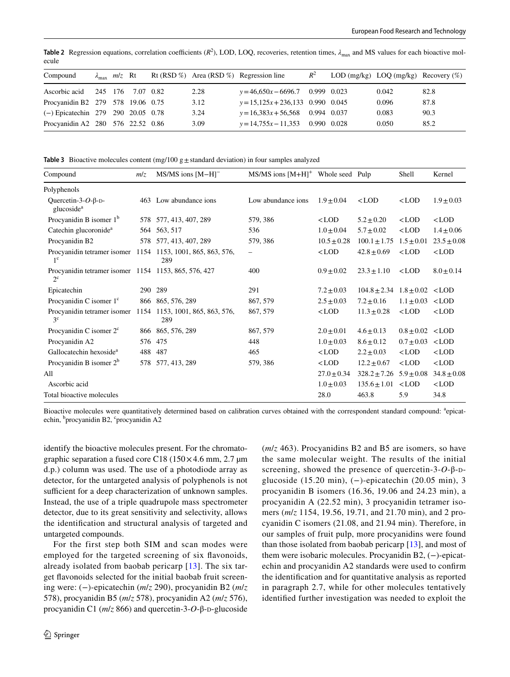|  |                               |                                                                                                                                                   | $R^2$                                   |                                                                                                                                       |                                             |
|--|-------------------------------|---------------------------------------------------------------------------------------------------------------------------------------------------|-----------------------------------------|---------------------------------------------------------------------------------------------------------------------------------------|---------------------------------------------|
|  |                               | 2.28                                                                                                                                              |                                         | 0.042                                                                                                                                 | 82.8                                        |
|  |                               | 3.12                                                                                                                                              |                                         | 0.096                                                                                                                                 | 87.8                                        |
|  |                               | 3.24                                                                                                                                              |                                         | 0.083                                                                                                                                 | 90.3                                        |
|  |                               | 3.09                                                                                                                                              |                                         | 0.050                                                                                                                                 | 85.2                                        |
|  | $\lambda_{\text{max}}$ m/z Rt | Ascorbic acid 245 176 7.07 0.82<br>Procyanidin B2 279 578 19.06 0.75<br>$(-)$ Epicatechin 279 290 20.05 0.78<br>Procyanidin A2 280 576 22.52 0.86 | Rt (RSD %) Area (RSD %) Regression line | $y=46,650x-6696.7$ 0.999 0.023<br>$y=15,125x+236,133$ 0.990 0.045<br>$y=16,383x+56,568$ 0.994 0.037<br>$y=14,755x-11,353$ 0.990 0.028 | LOD $(mg/kg)$ LOQ $(mg/kg)$ Recovery $(\%)$ |

<span id="page-5-0"></span>**Table 2** Regression equations, correlation coefficients  $(R^2)$ , LOD, LOQ, recoveries, retention times,  $\lambda_{\text{max}}$  and MS values for each bioactive molecule

<span id="page-5-1"></span>**Table 3** Bioactive molecules content (mg/100 g $\pm$  standard deviation) in four samples analyzed

| Compound                                                                      | m/z  | MS/MS ions [M-H] <sup>-</sup>     | $MS/MS$ ions $[M+H]$ <sup>+</sup> Whole seed Pulp |                 |                                                                       | Shell                                       | Kernel          |
|-------------------------------------------------------------------------------|------|-----------------------------------|---------------------------------------------------|-----------------|-----------------------------------------------------------------------|---------------------------------------------|-----------------|
| Polyphenols                                                                   |      |                                   |                                                   |                 |                                                                       |                                             |                 |
| Quercetin-3- $O$ - $\beta$ -D-<br>glucoside <sup>a</sup>                      |      | 463 Low abundance ions            | Low abundance ions                                | $1.9 + 0.04$    | $<$ LOD                                                               | $<$ LOD                                     | $1.9 \pm 0.03$  |
| Procyanidin B isomer $1b$                                                     |      | 578 577, 413, 407, 289            | 579, 386                                          | $<$ LOD         | $5.2 \pm 0.20$                                                        | $<$ LOD                                     | $<$ LOD         |
| Catechin glucoronide <sup>a</sup>                                             |      | 564 563, 517                      | 536                                               | $1.0 \pm 0.04$  | $5.7 \pm 0.02$                                                        | $<$ LOD                                     | $1.4 \pm 0.06$  |
| Procyanidin B2                                                                |      | 578 577, 413, 407, 289            | 579, 386                                          | $10.5 \pm 0.28$ | $100.1 \pm 1.75$                                                      | $1.5 \pm 0.01$                              | $23.5 \pm 0.08$ |
| Procyanidin tetramer isomer 1154 1153, 1001, 865, 863, 576,<br>1 <sup>c</sup> |      | 289                               | $\qquad \qquad -$                                 | $<$ LOD         | $42.8 \pm 0.69$                                                       | $<$ LOD                                     | $<$ LOD         |
| Procyanidin tetramer isomer 1154 1153, 865, 576, 427<br>$2^{\circ}$           |      |                                   | 400                                               | $0.9 \pm 0.02$  | $23.3 \pm 1.10$                                                       | $<$ LOD                                     | $8.0 \pm 0.14$  |
| Epicatechin                                                                   | 290  | 289                               | 291                                               | $7.2 \pm 0.03$  | $104.8 \pm 2.34$ $1.8 \pm 0.02$ <lod< td=""><td></td><td></td></lod<> |                                             |                 |
| Procyanidin C isomer 1 <sup>c</sup>                                           |      | 866 865, 576, 289                 | 867, 579                                          | $2.5 \pm 0.03$  | $7.2 \pm 0.16$                                                        | $1.1 \pm 0.03$                              | $<$ LOD         |
| Procyanidin tetramer isomer<br>3 <sup>c</sup>                                 | 1154 | 1153, 1001, 865, 863, 576,<br>289 | 867, 579                                          | $<$ LOD         | $11.3 \pm 0.28$                                                       | $<$ LOD                                     | $<$ LOD         |
| Procyanidin C isomer 2 <sup>c</sup>                                           |      | 866 865, 576, 289                 | 867, 579                                          | $2.0 \pm 0.01$  | $4.6 \pm 0.13$                                                        | $0.8 \pm 0.02$ <lod< td=""><td></td></lod<> |                 |
| Procyanidin A2                                                                |      | 576 475                           | 448                                               | $1.0 \pm 0.03$  | $8.6 \pm 0.12$                                                        | $0.7 \pm 0.03$                              | $<$ LOD         |
| Gallocatechin hexoside <sup>a</sup>                                           | 488  | 487                               | 465                                               | $<$ LOD         | $2.2 \pm 0.03$                                                        | $<$ LOD                                     | $<$ LOD         |
| Procyanidin B isomer $2^b$                                                    |      | 578 577, 413, 289                 | 579, 386                                          | $<$ LOD         | $12.2 \pm 0.67$                                                       | $<$ LOD                                     | $<$ LOD         |
| All                                                                           |      |                                   |                                                   | $27.0 \pm 0.34$ | $328.2 \pm 7.26$ 5.9 $\pm$ 0.08                                       |                                             | $34.8 \pm 0.08$ |
| Ascorbic acid                                                                 |      |                                   |                                                   | $1.0 \pm 0.03$  | $135.6 \pm 1.01$                                                      | $<$ LOD                                     | $<$ LOD         |
| Total bioactive molecules                                                     |      |                                   |                                                   | 28.0            | 463.8                                                                 | 5.9                                         | 34.8            |

Bioactive molecules were quantitatively determined based on calibration curves obtained with the correspondent standard compound: <sup>a</sup>epicatechin, <sup>b</sup>procyanidin B2, <sup>c</sup>procyanidin A2

identify the bioactive molecules present. For the chromatographic separation a fused core C18 (150 $\times$ 4.6 mm, 2.7 µm d.p.) column was used. The use of a photodiode array as detector, for the untargeted analysis of polyphenols is not sufficient for a deep characterization of unknown samples. Instead, the use of a triple quadrupole mass spectrometer detector, due to its great sensitivity and selectivity, allows the identifcation and structural analysis of targeted and untargeted compounds.

For the first step both SIM and scan modes were employed for the targeted screening of six favonoids, already isolated from baobab pericarp [[13\]](#page-8-6). The six target favonoids selected for the initial baobab fruit screening were: (−)-epicatechin (*m*/*z* 290), procyanidin B2 (*m*/*z* 578), procyanidin B5 (*m*/*z* 578), procyanidin A2 (*m*/*z* 576), procyanidin C1 ( $m/z$  866) and quercetin-3-*O*-β-D-glucoside

(*m*/*z* 463). Procyanidins B2 and B5 are isomers, so have the same molecular weight. The results of the initial screening, showed the presence of quercetin-3- $O$ -β-Dglucoside (15.20 min), (−)-epicatechin (20.05 min), 3 procyanidin B isomers (16.36, 19.06 and 24.23 min), a procyanidin A (22.52 min), 3 procyanidin tetramer isomers (*m*/*z* 1154, 19.56, 19.71, and 21.70 min), and 2 procyanidin C isomers (21.08, and 21.94 min). Therefore, in our samples of fruit pulp, more procyanidins were found than those isolated from baobab pericarp [\[13](#page-8-6)], and most of them were isobaric molecules. Procyanidin B2, (−)-epicatechin and procyanidin A2 standards were used to confrm the identifcation and for quantitative analysis as reported in paragraph 2.7, while for other molecules tentatively identifed further investigation was needed to exploit the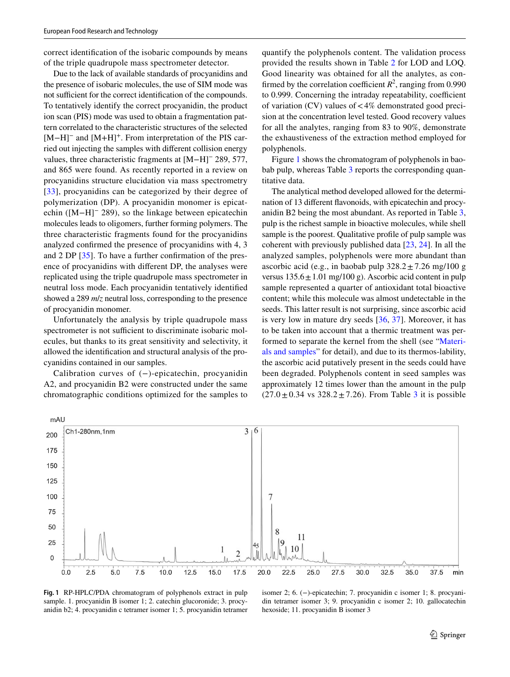correct identifcation of the isobaric compounds by means of the triple quadrupole mass spectrometer detector.

Due to the lack of available standards of procyanidins and the presence of isobaric molecules, the use of SIM mode was not sufficient for the correct identification of the compounds. To tentatively identify the correct procyanidin, the product ion scan (PIS) mode was used to obtain a fragmentation pattern correlated to the characteristic structures of the selected [M−H]<sup>–</sup> and [M+H]<sup>+</sup>. From interpretation of the PIS carried out injecting the samples with diferent collision energy values, three characteristic fragments at [M−H]− 289, 577, and 865 were found. As recently reported in a review on procyanidins structure elucidation via mass spectrometry [[33\]](#page-8-26), procyanidins can be categorized by their degree of polymerization (DP). A procyanidin monomer is epicatechin ([M−H]− 289), so the linkage between epicatechin molecules leads to oligomers, further forming polymers. The three characteristic fragments found for the procyanidins analyzed confrmed the presence of procyanidins with 4, 3 and 2 DP [\[35\]](#page-8-28). To have a further confrmation of the presence of procyanidins with diferent DP, the analyses were replicated using the triple quadrupole mass spectrometer in neutral loss mode. Each procyanidin tentatively identifed showed a 289 *m*/*z* neutral loss, corresponding to the presence of procyanidin monomer.

Unfortunately the analysis by triple quadrupole mass spectrometer is not sufficient to discriminate isobaric molecules, but thanks to its great sensitivity and selectivity, it allowed the identifcation and structural analysis of the procyanidins contained in our samples.

Calibration curves of (−)-epicatechin, procyanidin A2, and procyanidin B2 were constructed under the same chromatographic conditions optimized for the samples to quantify the polyphenols content. The validation process provided the results shown in Table [2](#page-5-0) for LOD and LOQ. Good linearity was obtained for all the analytes, as confirmed by the correlation coefficient  $R^2$ , ranging from 0.990 to 0.999. Concerning the intraday repeatability, coefficient of variation  $(CV)$  values of  $\lt 4\%$  demonstrated good precision at the concentration level tested. Good recovery values for all the analytes, ranging from 83 to 90%, demonstrate the exhaustiveness of the extraction method employed for polyphenols.

Figure [1](#page-6-0) shows the chromatogram of polyphenols in bao-bab pulp, whereas Table [3](#page-5-1) reports the corresponding quantitative data.

The analytical method developed allowed for the determination of 13 diferent favonoids, with epicatechin and procyanidin B2 being the most abundant. As reported in Table [3,](#page-5-1) pulp is the richest sample in bioactive molecules, while shell sample is the poorest. Qualitative profle of pulp sample was coherent with previously published data [\[23](#page-8-16), [24](#page-8-17)]. In all the analyzed samples, polyphenols were more abundant than ascorbic acid (e.g., in baobab pulp  $328.2 \pm 7.26$  mg/100 g versus  $135.6 \pm 1.01$  mg/100 g). Ascorbic acid content in pulp sample represented a quarter of antioxidant total bioactive content; while this molecule was almost undetectable in the seeds. This latter result is not surprising, since ascorbic acid is very low in mature dry seeds [\[36](#page-8-29), [37](#page-8-30)]. Moreover, it has to be taken into account that a thermic treatment was performed to separate the kernel from the shell (see "[Materi](#page-1-0)[als and samples](#page-1-0)" for detail), and due to its thermos-lability, the ascorbic acid putatively present in the seeds could have been degraded. Polyphenols content in seed samples was approximately 12 times lower than the amount in the pulp  $(27.0 \pm 0.34 \text{ vs } 328.2 \pm 7.26)$  $(27.0 \pm 0.34 \text{ vs } 328.2 \pm 7.26)$  $(27.0 \pm 0.34 \text{ vs } 328.2 \pm 7.26)$ . From Table 3 it is possible



<span id="page-6-0"></span>**Fig. 1** RP-HPLC/PDA chromatogram of polyphenols extract in pulp sample. 1. procyanidin B isomer 1; 2. catechin glucoronide; 3. procyanidin b2; 4. procyanidin c tetramer isomer 1; 5. procyanidin tetramer

isomer 2; 6. (−)-epicatechin; 7. procyanidin c isomer 1; 8. procyanidin tetramer isomer 3; 9. procyanidin c isomer 2; 10. gallocatechin hexoside; 11. procyanidin B isomer 3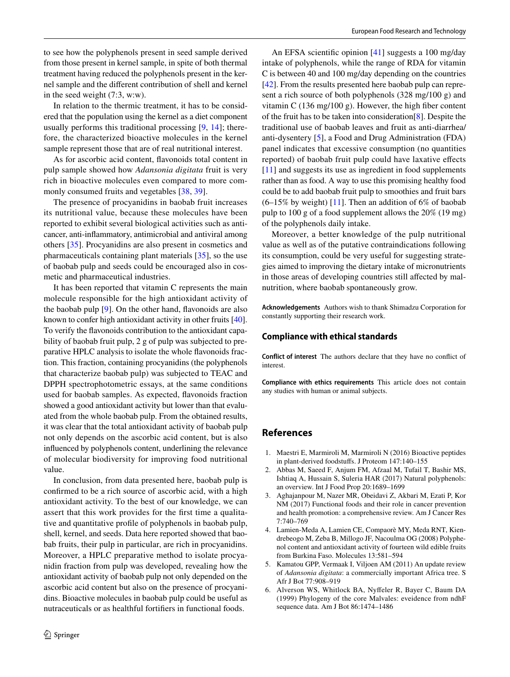to see how the polyphenols present in seed sample derived from those present in kernel sample, in spite of both thermal treatment having reduced the polyphenols present in the kernel sample and the diferent contribution of shell and kernel in the seed weight (7:3, w:w).

In relation to the thermic treatment, it has to be considered that the population using the kernel as a diet component usually performs this traditional processing [\[9,](#page-8-2) [14](#page-8-7)]; therefore, the characterized bioactive molecules in the kernel sample represent those that are of real nutritional interest.

As for ascorbic acid content, favonoids total content in pulp sample showed how *Adansonia digitata* fruit is very rich in bioactive molecules even compared to more commonly consumed fruits and vegetables [[38,](#page-8-31) [39\]](#page-8-32).

The presence of procyanidins in baobab fruit increases its nutritional value, because these molecules have been reported to exhibit several biological activities such as anticancer, anti-infammatory, antimicrobial and antiviral among others [[35\]](#page-8-28). Procyanidins are also present in cosmetics and pharmaceuticals containing plant materials [[35\]](#page-8-28), so the use of baobab pulp and seeds could be encouraged also in cosmetic and pharmaceutical industries.

It has been reported that vitamin C represents the main molecule responsible for the high antioxidant activity of the baobab pulp [[9\]](#page-8-2). On the other hand, favonoids are also known to confer high antioxidant activity in other fruits [\[40](#page-8-33)]. To verify the favonoids contribution to the antioxidant capability of baobab fruit pulp, 2 g of pulp was subjected to preparative HPLC analysis to isolate the whole favonoids fraction. This fraction, containing procyanidins (the polyphenols that characterize baobab pulp) was subjected to TEAC and DPPH spectrophotometric essays, at the same conditions used for baobab samples. As expected, favonoids fraction showed a good antioxidant activity but lower than that evaluated from the whole baobab pulp. From the obtained results, it was clear that the total antioxidant activity of baobab pulp not only depends on the ascorbic acid content, but is also infuenced by polyphenols content, underlining the relevance of molecular biodiversity for improving food nutritional value.

In conclusion, from data presented here, baobab pulp is confrmed to be a rich source of ascorbic acid, with a high antioxidant activity. To the best of our knowledge, we can assert that this work provides for the frst time a qualitative and quantitative profle of polyphenols in baobab pulp, shell, kernel, and seeds. Data here reported showed that baobab fruits, their pulp in particular, are rich in procyanidins. Moreover, a HPLC preparative method to isolate procyanidin fraction from pulp was developed, revealing how the antioxidant activity of baobab pulp not only depended on the ascorbic acid content but also on the presence of procyanidins. Bioactive molecules in baobab pulp could be useful as nutraceuticals or as healthful fortifers in functional foods.

An EFSA scientifc opinion [\[41](#page-8-34)] suggests a 100 mg/day intake of polyphenols, while the range of RDA for vitamin C is between 40 and 100 mg/day depending on the countries [\[42](#page-9-0)]. From the results presented here baobab pulp can represent a rich source of both polyphenols (328 mg/100 g) and vitamin C  $(136 \text{ mg}/100 \text{ g})$ . However, the high fiber content of the fruit has to be taken into consideration[\[8](#page-8-1)]. Despite the traditional use of baobab leaves and fruit as anti-diarrhea/ anti-dysentery [[5](#page-7-3)], a Food and Drug Administration (FDA) panel indicates that excessive consumption (no quantities reported) of baobab fruit pulp could have laxative efects [[11\]](#page-8-4) and suggests its use as ingredient in food supplements rather than as food. A way to use this promising healthy food could be to add baobab fruit pulp to smoothies and fruit bars  $(6-15\%$  by weight) [[11\]](#page-8-4). Then an addition of 6% of baobab pulp to 100 g of a food supplement allows the 20% (19 mg) of the polyphenols daily intake.

Moreover, a better knowledge of the pulp nutritional value as well as of the putative contraindications following its consumption, could be very useful for suggesting strategies aimed to improving the dietary intake of micronutrients in those areas of developing countries still affected by malnutrition, where baobab spontaneously grow.

**Acknowledgements** Authors wish to thank Shimadzu Corporation for constantly supporting their research work.

#### **Compliance with ethical standards**

**Conflict of interest** The authors declare that they have no confict of interest.

**Compliance with ethics requirements** This article does not contain any studies with human or animal subjects.

## **References**

- <span id="page-7-0"></span>1. Maestri E, Marmiroli M, Marmiroli N (2016) Bioactive peptides in plant-derived foodstufs. J Proteom 147:140–155
- 2. Abbas M, Saeed F, Anjum FM, Afzaal M, Tufail T, Bashir MS, Ishtiaq A, Hussain S, Suleria HAR (2017) Natural polyphenols: an overview. Int J Food Prop 20:1689–1699
- <span id="page-7-1"></span>3. Aghajanpour M, Nazer MR, Obeidavi Z, Akbari M, Ezati P, Kor NM (2017) Functional foods and their role in cancer prevention and health promotion: a comprehensive review. Am J Cancer Res 7:740–769
- <span id="page-7-2"></span>4. Lamien-Meda A, Lamien CE, Compaorè MY, Meda RNT, Kiendrebeogo M, Zeba B, Millogo JF, Nacoulma OG (2008) Polyphenol content and antioxidant activity of fourteen wild edible fruits from Burkina Faso. Molecules 13:581–594
- <span id="page-7-3"></span>5. Kamatou GPP, Vermaak I, Viljoen AM (2011) An update review of *Adansonia digitata*: a commercially important Africa tree. S Afr J Bot 77:908–919
- <span id="page-7-4"></span>6. Alverson WS, Whitlock BA, Nyfeler R, Bayer C, Baum DA (1999) Phylogeny of the core Malvales: eveidence from ndhF sequence data. Am J Bot 86:1474–1486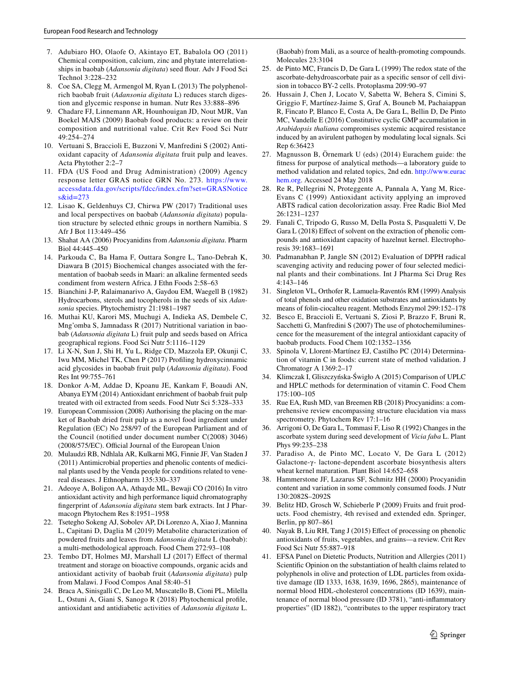- <span id="page-8-0"></span>7. Adubiaro HO, Olaofe O, Akintayo ET, Babalola OO (2011) Chemical composition, calcium, zinc and phytate interrelationships in baobab (*Adansonia digitata*) seed four. Adv J Food Sci Technol 3:228–232
- <span id="page-8-1"></span>8. Coe SA, Clegg M, Armengol M, Ryan L (2013) The polyphenolrich baobab fruit (*Adansonia digitata* L) reduces starch digestion and glycemic response in human. Nutr Res 33:888–896
- <span id="page-8-2"></span>9. Chadare FJ, Linnemann AR, Hounhouigan JD, Nout MJR, Van Boekel MAJS (2009) Baobab food products: a review on their composition and nutritional value. Crit Rev Food Sci Nutr 49:254–274
- <span id="page-8-3"></span>10. Vertuani S, Braccioli E, Buzzoni V, Manfredini S (2002) Antioxidant capacity of *Adansonia digitata* fruit pulp and leaves. Acta Phytother 2:2–7
- <span id="page-8-4"></span>11. FDA (US Food and Drug Administration) (2009) Agency response letter GRAS notice GRN No. 273. [https://www.](https://www.accessdata.fda.gov/scripts/fdcc/index.cfm?set=GRASNotices&id=273) [accessdata.fda.gov/scripts/fdcc/index.cfm?set=GRASNotice](https://www.accessdata.fda.gov/scripts/fdcc/index.cfm?set=GRASNotices&id=273)  $s\&id=273$
- <span id="page-8-5"></span>12. Lisao K, Geldenhuys CJ, Chirwa PW (2017) Traditional uses and local perspectives on baobab (*Adansonia digitata*) population structure by selected ethnic groups in northern Namibia. S Afr J Bot 113:449–456
- <span id="page-8-6"></span>13. Shahat AA (2006) Procyanidins from *Adansonia digitata*. Pharm Biol 44:445–450
- <span id="page-8-7"></span>14. Parkouda C, Ba Hama F, Outtara Songre L, Tano-Debrah K, Diawara B (2015) Biochemical changes associated with the fermentation of baobab seeds in Maari: an alkaline fermented seeds condiment from western Africa. J Ethn Foods 2:58–63
- <span id="page-8-8"></span>15. Bianchini J-P, Ralaimanarivo A, Gaydou EM, Waegell B (1982) Hydrocarbons, sterols and tocopherols in the seeds of six *Adansonia* species. Phytochemistry 21:1981–1987
- <span id="page-8-9"></span>16. Muthai KU, Karori MS, Muchugi A, Indieka AS, Dembele C, Mng'omba S, Jamnadass R (2017) Nutritional variation in baobab (*Adansonia digitata* L) fruit pulp and seeds based on Africa geographical regions. Food Sci Nutr 5:1116–1129
- <span id="page-8-10"></span>17. Li X-N, Sun J, Shi H, Yu L, Ridge CD, Mazzola EP, Okunji C, Iwu MM, Michel TK, Chen P (2017) Profling hydroxycinnamic acid glycosides in baobab fruit pulp (*Adansonia digitata*). Food Res Int 99:755–761
- <span id="page-8-11"></span>18. Donkor A-M, Addae D, Kpoanu JE, Kankam F, Boaudi AN, Abanya EYM (2014) Antioxidant enrichment of baobab fruit pulp treated with oil extracted from seeds. Food Nutr Sci 5:328–333
- <span id="page-8-12"></span>19. European Commission (2008) Authorising the placing on the market of Baobab dried fruit pulp as a novel food ingredient under Regulation (EC) No 258/97 of the European Parliament and of the Council (notifed under document number C(2008) 3046)  $(2008/575/EC)$ . Official Journal of the European Union
- <span id="page-8-13"></span>20. Mulaudzi RB, Ndhlala AR, Kulkarni MG, Finnie JF, Van Staden J (2011) Antimicrobial properties and phenolic contents of medicinal plants used by the Venda people for conditions related to venereal diseases. J Ethnopharm 135:330–337
- <span id="page-8-14"></span>21. Adeoye A, Boligon AA, Athayde ML, Bewaji CO (2016) In vitro antioxidant activity and high performance liquid chromatography fngerprint of *Adansonia digitata* stem bark extracts. Int J Pharmacogn Phytochem Res 8:1951–1958
- <span id="page-8-15"></span>22. Tsetegho Sokeng AJ, Sobolev AP, Di Lorenzo A, Xiao J, Mannina L, Capitani D, Daglia M (2019) Metabolite characterization of powdered fruits and leaves from *Adansonia digitata* L (baobab): a multi-methodological approach. Food Chem 272:93–108
- <span id="page-8-16"></span>23. Tembo DT, Holmes MJ, Marshall LJ (2017) Efect of thermal treatment and storage on bioactive compounds, organic acids and antioxidant activity of baobab fruit (*Adansonia digitata*) pulp from Malawi. J Food Compos Anal 58:40–51
- <span id="page-8-17"></span>24. Braca A, Sinisgalli C, De Leo M, Muscatello B, Cioni PL, Milella L, Ostuni A, Giani S, Sanogo R (2018) Phytochemical profle, antioxidant and antidiabetic activities of *Adansonia digitata* L.

(Baobab) from Mali, as a source of health-promoting compounds. Molecules 23:3104

- <span id="page-8-18"></span>25. de Pinto MC, Francis D, De Gara L (1999) The redox state of the ascorbate-dehydroascorbate pair as a specifc sensor of cell division in tobacco BY-2 cells. Protoplasma 209:90–97
- <span id="page-8-19"></span>26. Hussain J, Chen J, Locato V, Sabetta W, Behera S, Cimini S, Griggio F, Martínez-Jaime S, Graf A, Bouneb M, Pachaiappan R, Fincato P, Blanco E, Costa A, De Gara L, Bellin D, De Pinto MC, Vandelle E (2016) Constitutive cyclic GMP accumulation in *Arabidopsis thaliana* compromises systemic acquired resistance induced by an avirulent pathogen by modulating local signals. Sci Rep 6:36423
- <span id="page-8-20"></span>27. Magnusson B, Örnemark U (eds) (2014) Eurachem guide: the ftness for purpose of analytical methods—a laboratory guide to method validation and related topics, 2nd edn. [http://www.eurac](http://www.eurachem.org) [hem.org](http://www.eurachem.org). Accessed 24 May 2018
- <span id="page-8-21"></span>28. Re R, Pellegrini N, Proteggente A, Pannala A, Yang M, Rice-Evans C (1999) Antioxidant activity applying an improved ABTS radical cation decolorization assay. Free Radic Biol Med 26:1231–1237
- <span id="page-8-22"></span>29. Fanali C, Tripodo G, Russo M, Della Posta S, Pasqualetti V, De Gara L (2018) Effect of solvent on the extraction of phenolic compounds and antioxidant capacity of hazelnut kernel. Electrophoresis 39:1683–1691
- <span id="page-8-23"></span>30. Padmanabhan P, Jangle SN (2012) Evaluation of DPPH radical scavenging activity and reducing power of four selected medicinal plants and their combinations. Int J Pharma Sci Drug Res 4:143–146
- <span id="page-8-24"></span>31. Singleton VL, Orthofer R, Lamuela-Raventós RM (1999) Analysis of total phenols and other oxidation substrates and antioxidants by means of folin-ciocalteu reagent. Methods Enzymol 299:152–178
- <span id="page-8-25"></span>32. Besco E, Braccioli E, Vertuani S, Ziosi P, Brazzo F, Bruni R, Sacchetti G, Manfredini S (2007) The use of photochemiluminescence for the measurement of the integral antioxidant capacity of baobab products. Food Chem 102:1352–1356
- <span id="page-8-26"></span>33. Spinola V, Llorent-Martínez EJ, Castilho PC (2014) Determination of vitamin C in foods: current state of method validation. J Chromatogr A 1369:2–17
- <span id="page-8-27"></span>34. Klimczak I, Gliszczyńska-Świgło A (2015) Comparison of UPLC and HPLC methods for determination of vitamin C. Food Chem 175:100–105
- <span id="page-8-28"></span>35. Rue EA, Rush MD, van Breemen RB (2018) Procyanidins: a comprehensive review encompassing structure elucidation via mass spectrometry. Phytochem Rev 17:1–16
- <span id="page-8-29"></span>36. Arrigoni O, De Gara L, Tommasi F, Liso R (1992) Changes in the ascorbate system during seed development of *Vicia faba* L. Plant Phys 99:235–238
- <span id="page-8-30"></span>37. Paradiso A, de Pinto MC, Locato V, De Gara L (2012) Galactone-γ- lactone-dependent ascorbate biosynthesis alters wheat kernel maturation. Plant Biol 14:652–658
- <span id="page-8-31"></span>38. Hammerstone JF, Lazarus SF, Schmitz HH (2000) Procyanidin content and variation in some commonly consumed foods. J Nutr 130:2082S–2092S
- <span id="page-8-32"></span>39. Belitz HD, Grosch W, Schieberle P (2009) Fruits and fruit products. Food chemistry, 4th revised and extended edn. Springer, Berlin, pp 807–861
- <span id="page-8-33"></span>40. Nayak B, Liu RH, Tang J (2015) Efect of processing on phenolic antioxidants of fruits, vegetables, and grains—a review. Crit Rev Food Sci Nutr 55:887–918
- <span id="page-8-34"></span>41. EFSA Panel on Dietetic Products, Nutrition and Allergies (2011) Scientifc Opinion on the substantiation of health claims related to polyphenols in olive and protection of LDL particles from oxidative damage (ID 1333, 1638, 1639, 1696, 2865), maintenance of normal blood HDL-cholesterol concentrations (ID 1639), maintenance of normal blood pressure (ID 3781), "anti-infammatory properties" (ID 1882), "contributes to the upper respiratory tract